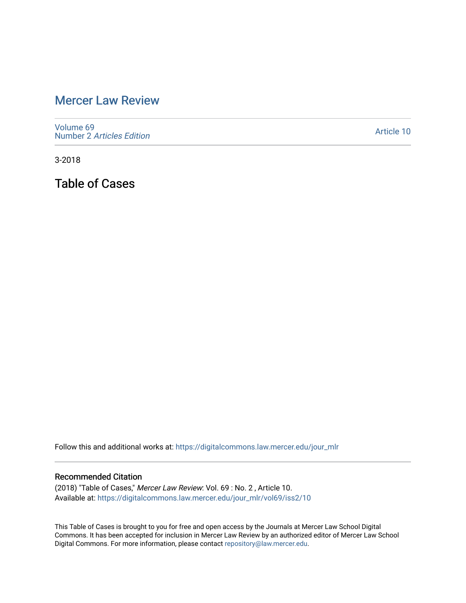## [Mercer Law Review](https://digitalcommons.law.mercer.edu/jour_mlr)

[Volume 69](https://digitalcommons.law.mercer.edu/jour_mlr/vol69) Number 2 [Articles Edition](https://digitalcommons.law.mercer.edu/jour_mlr/vol69/iss2) 

[Article 10](https://digitalcommons.law.mercer.edu/jour_mlr/vol69/iss2/10) 

3-2018

Table of Cases

Follow this and additional works at: [https://digitalcommons.law.mercer.edu/jour\\_mlr](https://digitalcommons.law.mercer.edu/jour_mlr?utm_source=digitalcommons.law.mercer.edu%2Fjour_mlr%2Fvol69%2Fiss2%2F10&utm_medium=PDF&utm_campaign=PDFCoverPages)

#### Recommended Citation

(2018) "Table of Cases," Mercer Law Review: Vol. 69 : No. 2 , Article 10. Available at: [https://digitalcommons.law.mercer.edu/jour\\_mlr/vol69/iss2/10](https://digitalcommons.law.mercer.edu/jour_mlr/vol69/iss2/10?utm_source=digitalcommons.law.mercer.edu%2Fjour_mlr%2Fvol69%2Fiss2%2F10&utm_medium=PDF&utm_campaign=PDFCoverPages) 

This Table of Cases is brought to you for free and open access by the Journals at Mercer Law School Digital Commons. It has been accepted for inclusion in Mercer Law Review by an authorized editor of Mercer Law School Digital Commons. For more information, please contact [repository@law.mercer.edu](mailto:repository@law.mercer.edu).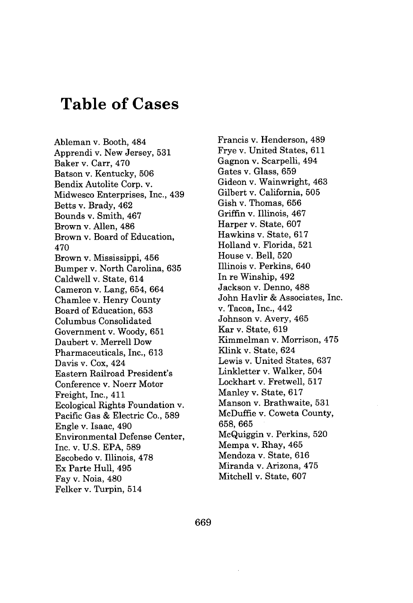# **Table of Cases**

Ableman v. Booth, 484 Apprendi v. New Jersey, **531** Baker v. Carr, 470 Batson v. Kentucky, **506** Bendix Autolite Corp. v. Midwesco Enterprises, Inc., 439 Betts v. Brady, 462 Bounds v. Smith, 467 Brown v. Allen, 486 Brown v. Board of Education, 470 Brown v. Mississippi, 456 Bumper v. North Carolina, **635** Caldwell v. State, 614 Cameron v. Lang, 654, 664 Chamlee v. Henry County Board of Education, **653** Columbus Consolidated Government v. Woody, **651** Daubert v. Merrell Dow Pharmaceuticals, Inc., **613** Davis v. Cox, 424 Eastern Railroad President's Conference v. Noerr Motor Freight, Inc., 411 Ecological Rights Foundation v. Pacific Gas **&** Electric Co., **589** Engle v. Isaac, 490 Environmental Defense Center, Inc. v. **U.S. EPA, 589** Escobedo v. Illinois, **478** Ex Parte Hull, 495 Fay v. Noia, 480 Felker v. Turpin, 514

Francis v. Henderson, 489 Frye v. United States, **611** Gagnon v. Scarpelli, 494 Gates v. Glass, **659** Gideon v. Wainwright, 463 Gilbert v. California, **505** Gish v. Thomas, **656** Griffin v. Illinois, 467 Harper v. State, **607** Hawkins v. State, **617** Holland v. Florida, **521** House v. Bell, **520** Illinois v. Perkins, 640 In re Winship, 492 Jackson v. Denno, **488** John Havlir **&** Associates, Inc. v. Tacoa, Inc., 442 Johnson v. Avery, 465 Kar v. State, **619** Kimmelman v. Morrison, 475 Klink v. State, 624 Lewis v. United States, **637** Linkletter v. Walker, 504 Lockhart v. Fretwell, **517** Manley v. State, **617** Manson v. Brathwaite, **531** McDuffie v. Coweta County, **658, 665** McQuiggin v. Perkins, **520** Mempa v. Rhay, 465 Mendoza v. State, **616** Miranda v. Arizona, 475 Mitchell v. State, **607**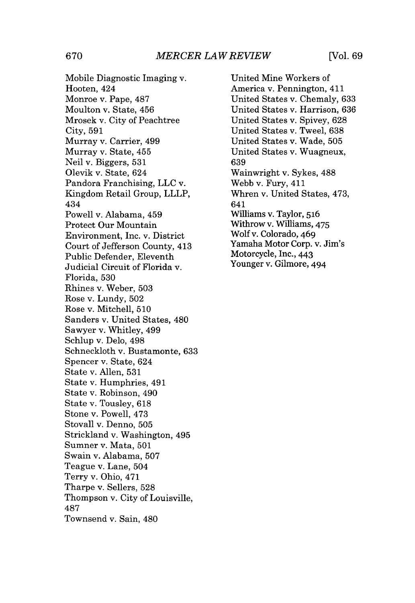Mobile Diagnostic Imaging v. Hooten, 424 Monroe v. Pape, **487** Moulton v. State, 456 Mrosek v. City of Peachtree City, **591** Murray v. Carrier, 499 Murray v. State, 455 Neil v. Biggers, **531** Olevik v. State, 624 Pandora Franchising, **LLC** v. Kingdom Retail Group, LLLP, 434 Powell v. Alabama, 459 Protect Our Mountain Environment, Inc. v. District Court of Jefferson County, 413 Public Defender, Eleventh Judicial Circuit of Florida v. Florida, **530** Rhines v. Weber, **503** Rose v. Lundy, **502** Rose v. Mitchell, **510** Sanders v. United States, 480 Sawyer v. Whitley, 499 Schlup v. Delo, 498 Schneckloth v. Bustamonte, **633** Spencer v. State, 624 State v. Allen, **531** State v. Humphries, 491 State v. Robinson, 490 State v. Tousley, **618** Stone v. Powell, 473 Stovall v. Denno, **505** Strickland v. Washington, 495 Sumner v. Mata, **501** Swain v. Alabama, **507** Teague v. Lane, 504 Terry v. Ohio, 471 Tharpe v. Sellers, **528** Thompson v. City of Louisville, **487** Townsend v. Sain, 480

United Mine Workers of America v. Pennington, 411 United States v. Chemaly, **633** United States v. Harrison, **636** United States v. Spivey, **628** United States v. Tweel, **638** United States v. Wade, **505** United States v. Wuagneux, **639** Wainwright v. Sykes, **488** Webb v. Fury, 411 Whren v. United States, 473, 641 Williams v. Taylor, **516** Withrow v. Williams, 475 Wolf v. Colorado, 469 Yamaha Motor Corp. v. Jim's Motorcycle, Inc., 443 Younger v. Gilmore, 494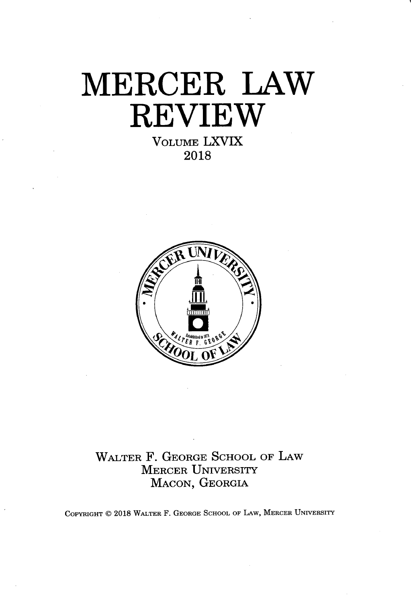# **MERCER LAW REVIEW VOLUME** LXVIX

**2018**



WALTER F. **GEORGE SCHOOL** OF LAW MERCER UNIVERSITY **MACON, GEORGIA**

COPYRIGHT @ **2018** WALTER F. **GEORGE SCHOOL** OF LAW, MERCER UNIVERSITY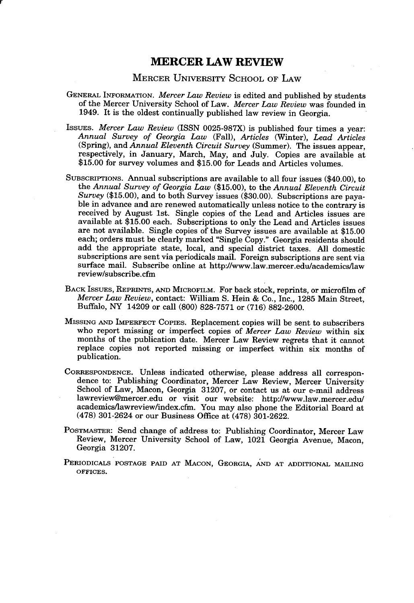#### **MERCER LAW REVIEW**

#### MERCER UNIVERSITY **SCHOOL** OF LAW

- **GENERAL INFORMATION.** *Mercer Law Review* is edited and published **by** students of the Mercer University School of Law. *Mercer Law Review* was founded in 1949. It is the oldest continually published law review in Georgia.
- *IssuEs. Mercer Law Review (ISSN* **0025-987X)** is published four times a year: *Annual Survey of Georgia Law (Fall), Articles* (Winter), *Lead Articles* (Spring), and *Annual Eleventh Circuit Survey* (Summer). The issues appear, respectively, in January, March, May, and July. Copies are available at **\$15.00** for survey volumes and **\$15.00** for Leads and Articles volumes.
- SUBSCRIPTIONs. Annual subscriptions are available to all four issues (\$40.00), to the *Annual Survey of Georgia Law* **(\$15.00),** to the *Annual Eleventh Circuit Survey* **(\$15.00),** and to both Survey issues **(\$30.00).** Subscriptions are payable in advance and are renewed automatically unless notice to the contrary is received **by** August 1st. Single copies of the Lead and Articles issues are available at **\$15.00** each. Subscriptions to only the Lead and Articles issues are not available. Single copies of the Survey issues are available at **\$15.00** each; orders must be clearly marked "Single Copy." Georgia residents should add the appropriate state, local, and special district taxes. **All** domestic subscriptions are sent via periodicals mail. Foreign subscriptions are sent via surface mail. Subscribe online at http://www.law.mercer.edu/academics/law review/subscribe.cfm
- BACK IssuEs, **REPRINTS, AND MICROFILM.** For back stock, reprints, or microfilm of *Mercer Law Review,* contact: William **S.** Hein **&** Co., Inc., **1285** Main Street, Buffalo, NY 14209 or call **(800) 828-7571** or **(716) 882-2600.**
- MISSING **AND IMPERFECT** COPIES. Replacement copies will be sent to subscribers who report missing or imperfect copies of *Mercer Law Review* within six months of the publication date. Mercer Law Review regrets that it cannot replace copies not reported missing or imperfect within six months of publication.
- **CORRESPONDENCE.** Unless indicated otherwise, please address all correspondence to: Publishing Coordinator, Mercer Law Review, Mercer University School of Law, Macon, Georgia **31207,** or contact us at our e-mail address lawreview@mercer.edu or visit our website: http://www.law.mercer.edu/ academics/lawreview/index.cfm. You may also phone the Editorial Board at **(478)** 301-2624 or our Business Office at **(478) 301-2622.**
- **POSTMASTER:** Send change of address to: Publishing Coordinator, Mercer Law Review, Mercer University School of Law, 1021 Georgia Avenue, Macon, Georgia **31207.**
- **PERIODICALS POSTAGE PAID AT MACON, GEORGIA, AND AT ADDITIONAL MAILING OFFICES.**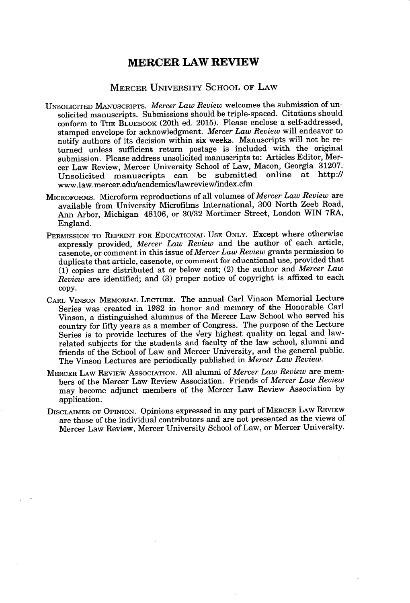### **MERCER LAW REVIEW**

### MERCER UNIVERSITY **SCHOOL** OF LAW

- **UNSOLICITED MANUSCRIPTs.** *Mercer Law Review* welcomes the submission of unsolicited manuscripts. Submissions should be triple-spaced. Citations should conform to **THE BLUEBOOK** (20th ed. **2015).** Please enclose a self-addressed, stamped envelope for acknowledgment. *Mercer Law Review* will endeavor to notify authors of its decision within six weeks. Manuscripts will not be returned unless sufficient return postage is included with the original submission. Please address unsolicited manuscripts to: Articles Editor, Mercer Law Review, Mercer University School of Law, Macon, Georgia **31207.** Unsolicited manuscripts can be submitted online at http:// www.law.mercer.edulacademics/lawreview/index.cfm
- **MICROFORMS.** Microform reproductions of all volumes of *Mercer Law Review* are available from University Microfilms International, **300** North Zeeb Road, Ann Arbor, Michigan 48106, or **30/32** Mortimer Street, London WIN 7RA, England.
- **PERMISSION TO REPRINT FOR EDUCATIONAL USE ONLY.** Except where otherwise expressly provided, *Mercer Law Review* and the author of each article, casenote, or comment in this issue *of Mercer Law Review* **grants permission to** duplicate that article, casenote, or comment for educational use, provided that **(1)** copies are distributed at or below cost; (2) the author and *Mercer Law Review* are identified; and **(3)** proper notice of copyright is affixed to each **copy.**
- CARL **VINSON MEMORIAL LECTURE.** The annual Carl Vinson Memorial Lecture Series was created in **1982** in honor and memory of the Honorable Carl Vinson, a distinguished alumnus of the Mercer Law School who served his country for fifty years as a member of Congress. The purpose of the Lecture Series is to provide lectures of the very highest quality on legal and lawrelated subjects for the students and faculty of the law school, alumni and friends of the School of Law and Mercer University, and the general public. The Vinson Lectures are periodically published in *Mercer Law Review.*
- **MERCER LAW REVIEW ASSOCIATION. All** alumni of *Mercer Law Review* are members of the Mercer Law Review Association. Friends of *Mercer Law Review* may become adjunct members of the Mercer Law Review Association **by** application.
- **DISCLAIMER** OF **OPINION.** Opinions expressed in any part **of MERCER LAW REVIEW** are those of the individual contributors and are not presented as the views of Mercer Law Review, Mercer University School of Law, or Mercer University.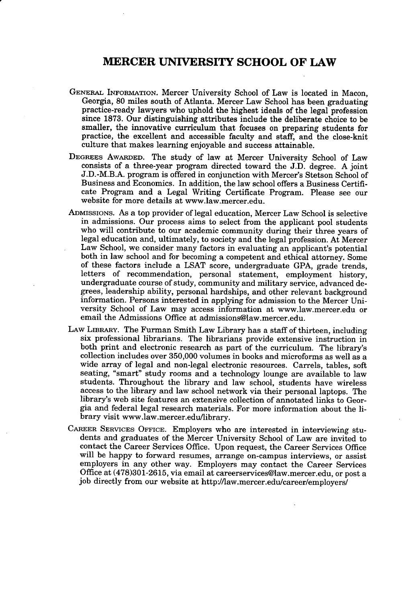### **MERCER UNIVERSITY SCHOOL OF LAW**

- **GENERAL INFORMATION.** Mercer University School of Law is located in Macon, Georgia, **80** miles south of Atlanta. Mercer Law School has been graduating practice-ready lawyers who uphold the highest ideals of the legal profession since **1873.** Our distinguishing attributes include the deliberate choice to be smaller, the innovative curriculum that focuses on preparing students for practice, the excellent and accessible faculty and staff, and the close-knit culture that makes learning enjoyable and success attainable.
- **DEGREES AWARDED.** The study of law at Mercer University School of Law consists of a three-year program directed toward the **J.D.** degree. **A** joint **J.D.-M.B.A.** program is offered in conjunction with Mercer's Stetson School of Business and Economics. In addition, the law school offers a Business Certificate Program and a Legal Writing Certificate Program. Please see our website for more details at www.law.mercer.edu.
- **ADMISSIONs.** As a top provider of legal education, Mercer Law School is selective in admissions. Our process aims to select from the applicant pool students who will contribute to our academic community during their three years of legal education and, ultimately, to society and the legal profession. At Mercer Law School, we consider many factors in evaluating an applicant's potential both in law school and for becoming a competent and ethical attorney. Some of these factors include a **LSAT** score, undergraduate **GPA,** grade trends, letters of recommendation, personal statement, employment history, undergraduate course of study, community and military service, advanced degrees, leadership ability, personal hardships, and other relevant background information. Persons interested in applying for admission to the Mercer University School of Law may access information at www.law.mercer.edu or email the Admissions Office at admissions@law.mercer.edu.
- LAW **LIBRARY.** The Furman Smith Law Library has a staff of thirteen, including six professional librarians. The librarians provide extensive instruction in both print and electronic research as part of the curriculum. The library's collection includes over **350,000** volumes in books and microforms as well as a wide array of legal and non-legal electronic resources. Carrels, tables, soft seating, "smart" study rooms and a technology lounge are available to law students. Throughout the library and law school, students have wireless access to the library and law school network via their personal laptops. The library's web site features an extensive collection of annotated links to Georgia and federal legal research materials. For more information about the library visit www.law.mercer.edullibrary.
- **CAREER SERVICES OFFICE.** Employers who are interested in interviewing students and graduates of the Mercer University School of Law are invited to contact the Career Services Office. Upon request, the Career Services Office will be happy to forward resumes, arrange on-campus interviews, or assist employers in any other way. Employers may contact the Career Services Office at **(478)301-2615,** via email at careerservices@law.mercer.edu, or post a **job** directly from our website at http://law.mercer.edu/career/employers/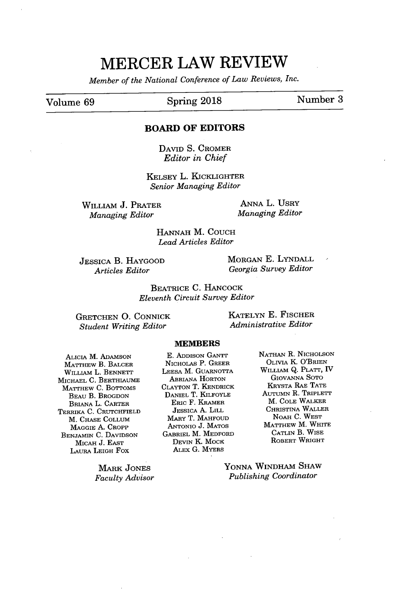# **MERCER LAW REVIEW**

*Member of the National Conference of Law Reviews, Inc.*

### Volume **69** Spring **2018** Number **<sup>3</sup>**

#### **BOARD OF EDITORS**

**DAVID** *S.* CROMER *Editor in Chief*

KELSEY L. KICKLIGHTER *Senior Managing Editor*

WILLIAM **J.** PRATER *Managing Editor*

**ANNA** L. UsRy *Managing Editor*

**HANNAH** M. **COUCH** *Lead Articles Editor*

**JESSICA** B. HAYGOOD *Articles Editor*

MORGAN **E.** LYNDALL *Georgia Survey Editor*

BEATRICE **C.** HANCOCK *Eleventh Circuit Survey Editor*

**GRETCHEN 0.** CONNICK *Student Writing Editor*

**KATELYN E.** FISCHER *Administrative Editor*

#### MEMBERS

AICIA M. ADAMSON MATTHEW B. BALCER WILLIAM L. **BENNETT** MICHAEL **C.** BERTHIAUME MATTHEW **C.** BOTTOMS BEAU B. BROGDON BRIANA L. CARTER TERRIKA **C.** CRUTCHFIELD M. **CHASE COLLUM** MAGGIE **A.** CROPP **BENJAMIN C.** DAVIDSON MICAH **J. EAST** LAURA LEIGH Fox

> MARK **JONES** *Faculty Advisor*

**E. ADDISON GANTT** NICHOLAS P. GREER **LEESA** M. GUARNOTTA ABRIANA HORTON **CLAYTON** T. KENDRICK DANIEL T. KILFOYLE ERIC F. KRAMER **JESSICA A.** LILL MARY T. **MAHFOUD ANTONIO J. MATOS** GABRIEL M. MEDFORD **DEVIN** K. MOCK ALEx **G.** MYERS

**NATHAN** R. **NICHOLSON** OLIVIA K. O'BRIEN WILLIAM Q. PLATT, IV **GIOVANNA SoTo** KRYSTA **RAE TATE** AUTUMN R. TRIPLETT M. **COLE** WALKER CHRISTINA WALLER NOAH **C.** WEST MATTHEW M. WHITE **CATLIN** B. WISE ROBERT WRIGHT

**YONNA** WINDHAM SHAW *Publishing Coordinator*